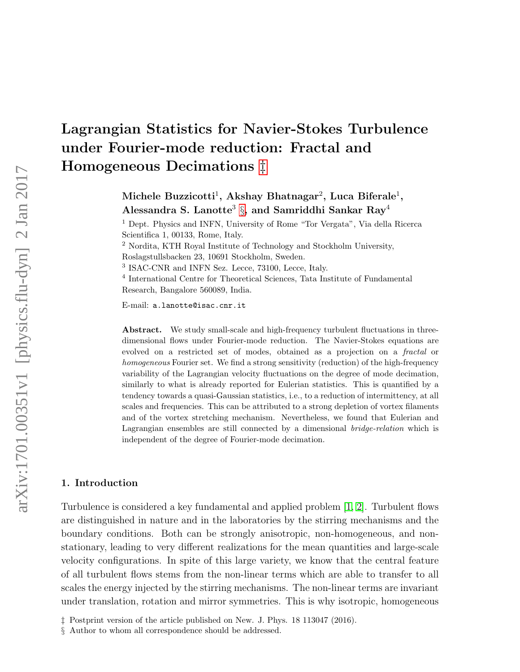# Lagrangian Statistics for Navier-Stokes Turbulence under Fourier-mode reduction: Fractal and Homogeneous Decimations [‡](#page-0-0)

Michele Buzzicotti $^1$ , Akshay Bhatnagar $^2$ , Luca Biferale $^1,$ Alessandra S. Lanotte $^3$   $\S$ , and Samriddhi Sankar Ray $^4$ 

<sup>1</sup> Dept. Physics and INFN, University of Rome "Tor Vergata", Via della Ricerca Scientifica 1, 00133, Rome, Italy.

<sup>2</sup> Nordita, KTH Royal Institute of Technology and Stockholm University, Roslagstullsbacken 23, 10691 Stockholm, Sweden.

3 ISAC-CNR and INFN Sez. Lecce, 73100, Lecce, Italy.

4 International Centre for Theoretical Sciences, Tata Institute of Fundamental Research, Bangalore 560089, India.

E-mail: a.lanotte@isac.cnr.it

Abstract. We study small-scale and high-frequency turbulent fluctuations in threedimensional flows under Fourier-mode reduction. The Navier-Stokes equations are evolved on a restricted set of modes, obtained as a projection on a fractal or homogeneous Fourier set. We find a strong sensitivity (reduction) of the high-frequency variability of the Lagrangian velocity fluctuations on the degree of mode decimation, similarly to what is already reported for Eulerian statistics. This is quantified by a tendency towards a quasi-Gaussian statistics, i.e., to a reduction of intermittency, at all scales and frequencies. This can be attributed to a strong depletion of vortex filaments and of the vortex stretching mechanism. Nevertheless, we found that Eulerian and Lagrangian ensembles are still connected by a dimensional bridge-relation which is independent of the degree of Fourier-mode decimation.

#### 1. Introduction

Turbulence is considered a key fundamental and applied problem [\[1,](#page-14-0) [2\]](#page-14-1). Turbulent flows are distinguished in nature and in the laboratories by the stirring mechanisms and the boundary conditions. Both can be strongly anisotropic, non-homogeneous, and nonstationary, leading to very different realizations for the mean quantities and large-scale velocity configurations. In spite of this large variety, we know that the central feature of all turbulent flows stems from the non-linear terms which are able to transfer to all scales the energy injected by the stirring mechanisms. The non-linear terms are invariant under translation, rotation and mirror symmetries. This is why isotropic, homogeneous

<span id="page-0-0"></span><sup>‡</sup> Postprint version of the article published on New. J. Phys. 18 113047 (2016).

<span id="page-0-1"></span><sup>§</sup> Author to whom all correspondence should be addressed.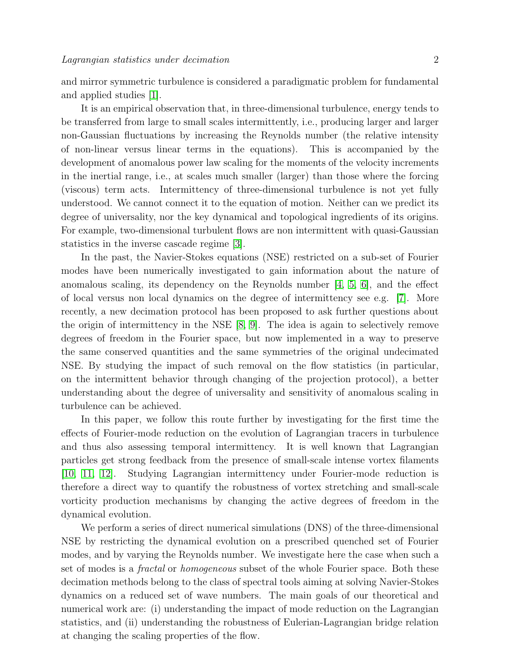and mirror symmetric turbulence is considered a paradigmatic problem for fundamental and applied studies [\[1\]](#page-14-0).

It is an empirical observation that, in three-dimensional turbulence, energy tends to be transferred from large to small scales intermittently, i.e., producing larger and larger non-Gaussian fluctuations by increasing the Reynolds number (the relative intensity of non-linear versus linear terms in the equations). This is accompanied by the development of anomalous power law scaling for the moments of the velocity increments in the inertial range, i.e., at scales much smaller (larger) than those where the forcing (viscous) term acts. Intermittency of three-dimensional turbulence is not yet fully understood. We cannot connect it to the equation of motion. Neither can we predict its degree of universality, nor the key dynamical and topological ingredients of its origins. For example, two-dimensional turbulent flows are non intermittent with quasi-Gaussian statistics in the inverse cascade regime [\[3\]](#page-14-2).

In the past, the Navier-Stokes equations (NSE) restricted on a sub-set of Fourier modes have been numerically investigated to gain information about the nature of anomalous scaling, its dependency on the Reynolds number [\[4,](#page-14-3) [5,](#page-14-4) [6\]](#page-14-5), and the effect of local versus non local dynamics on the degree of intermittency see e.g. [\[7\]](#page-14-6). More recently, a new decimation protocol has been proposed to ask further questions about the origin of intermittency in the NSE [\[8,](#page-14-7) [9\]](#page-15-0). The idea is again to selectively remove degrees of freedom in the Fourier space, but now implemented in a way to preserve the same conserved quantities and the same symmetries of the original undecimated NSE. By studying the impact of such removal on the flow statistics (in particular, on the intermittent behavior through changing of the projection protocol), a better understanding about the degree of universality and sensitivity of anomalous scaling in turbulence can be achieved.

In this paper, we follow this route further by investigating for the first time the effects of Fourier-mode reduction on the evolution of Lagrangian tracers in turbulence and thus also assessing temporal intermittency. It is well known that Lagrangian particles get strong feedback from the presence of small-scale intense vortex filaments [\[10,](#page-15-1) [11,](#page-15-2) [12\]](#page-15-3). Studying Lagrangian intermittency under Fourier-mode reduction is therefore a direct way to quantify the robustness of vortex stretching and small-scale vorticity production mechanisms by changing the active degrees of freedom in the dynamical evolution.

We perform a series of direct numerical simulations (DNS) of the three-dimensional NSE by restricting the dynamical evolution on a prescribed quenched set of Fourier modes, and by varying the Reynolds number. We investigate here the case when such a set of modes is a *fractal* or *homogeneous* subset of the whole Fourier space. Both these decimation methods belong to the class of spectral tools aiming at solving Navier-Stokes dynamics on a reduced set of wave numbers. The main goals of our theoretical and numerical work are: (i) understanding the impact of mode reduction on the Lagrangian statistics, and (ii) understanding the robustness of Eulerian-Lagrangian bridge relation at changing the scaling properties of the flow.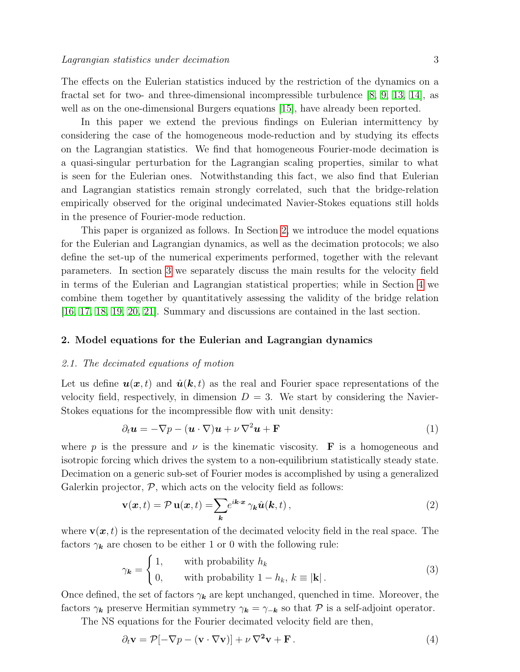The effects on the Eulerian statistics induced by the restriction of the dynamics on a fractal set for two- and three-dimensional incompressible turbulence [\[8,](#page-14-7) [9,](#page-15-0) [13,](#page-15-4) [14\]](#page-15-5), as well as on the one-dimensional Burgers equations [\[15\]](#page-15-6), have already been reported.

In this paper we extend the previous findings on Eulerian intermittency by considering the case of the homogeneous mode-reduction and by studying its effects on the Lagrangian statistics. We find that homogeneous Fourier-mode decimation is a quasi-singular perturbation for the Lagrangian scaling properties, similar to what is seen for the Eulerian ones. Notwithstanding this fact, we also find that Eulerian and Lagrangian statistics remain strongly correlated, such that the bridge-relation empirically observed for the original undecimated Navier-Stokes equations still holds in the presence of Fourier-mode reduction.

This paper is organized as follows. In Section [2,](#page-2-0) we introduce the model equations for the Eulerian and Lagrangian dynamics, as well as the decimation protocols; we also define the set-up of the numerical experiments performed, together with the relevant parameters. In section [3](#page-4-0) we separately discuss the main results for the velocity field in terms of the Eulerian and Lagrangian statistical properties; while in Section [4](#page-9-0) we combine them together by quantitatively assessing the validity of the bridge relation [\[16,](#page-15-7) [17,](#page-15-8) [18,](#page-15-9) [19,](#page-15-10) [20,](#page-15-11) [21\]](#page-15-12). Summary and discussions are contained in the last section.

# <span id="page-2-0"></span>2. Model equations for the Eulerian and Lagrangian dynamics

#### 2.1. The decimated equations of motion

Let us define  $u(x, t)$  and  $\hat{u}(k, t)$  as the real and Fourier space representations of the velocity field, respectively, in dimension  $D = 3$ . We start by considering the Navier-Stokes equations for the incompressible flow with unit density:

$$
\partial_t \mathbf{u} = -\nabla p - (\mathbf{u} \cdot \nabla) \mathbf{u} + \nu \nabla^2 \mathbf{u} + \mathbf{F}
$$
 (1)

where p is the pressure and  $\nu$  is the kinematic viscosity. **F** is a homogeneous and isotropic forcing which drives the system to a non-equilibrium statistically steady state. Decimation on a generic sub-set of Fourier modes is accomplished by using a generalized Galerkin projector,  $P$ , which acts on the velocity field as follows:

$$
\mathbf{v}(\mathbf{x},t) = \mathcal{P}\,\mathbf{u}(\mathbf{x},t) = \sum_{\mathbf{k}} e^{i\mathbf{k}\cdot\mathbf{x}} \,\gamma_{\mathbf{k}} \hat{\mathbf{u}}(\mathbf{k},t) \,, \tag{2}
$$

where  $\mathbf{v}(\boldsymbol{x},t)$  is the representation of the decimated velocity field in the real space. The factors  $\gamma_k$  are chosen to be either 1 or 0 with the following rule:

$$
\gamma_{\mathbf{k}} = \begin{cases} 1, & \text{with probability } h_k \\ 0, & \text{with probability } 1 - h_k, \, k \equiv |\mathbf{k}| \,. \end{cases} \tag{3}
$$

Once defined, the set of factors  $\gamma_k$  are kept unchanged, quenched in time. Moreover, the factors  $\gamma_k$  preserve Hermitian symmetry  $\gamma_k = \gamma_{-k}$  so that P is a self-adjoint operator.

The NS equations for the Fourier decimated velocity field are then,

$$
\partial_t \mathbf{v} = \mathcal{P}[-\nabla p - (\mathbf{v} \cdot \nabla \mathbf{v})] + \nu \nabla^2 \mathbf{v} + \mathbf{F}.
$$
 (4)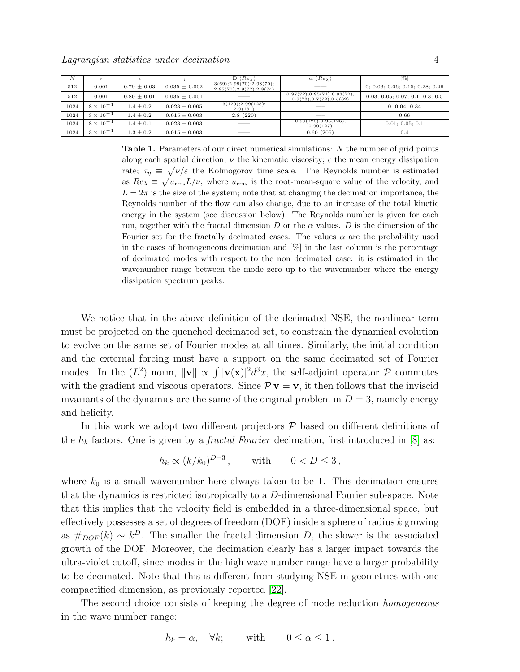| N    | ν                  |                 |                   | $D(Re_\lambda)$                                                   | $(Re\lambda)$<br>$\alpha$                                  | 1%                              |
|------|--------------------|-----------------|-------------------|-------------------------------------------------------------------|------------------------------------------------------------|---------------------------------|
| 512  | 0.001              | $0.79 \pm 0.03$ | $0.035 \pm 0.002$ | $3(69)$ ; $2.99(70)$ ; $2.98(70)$ ;<br>2.95(70); 2.9(72); 2.8(74) | _____                                                      | 0; 0.03; 0.06; 0.15; 0.28; 0.46 |
| 512  | 0.001              | $0.80 \pm 0.01$ | $0.035 \pm 0.001$ |                                                                   | 0.97(72); 0.95(71); 0.93(72);<br>0.9(73); 0.7(72); 0.5(82) | 0.03; 0.05; 0.07; 0.1; 0.3; 0.5 |
| 1024 | $8 \times 10^{-4}$ | $1.4 \pm 0.2$   | $0.023 \pm 0.005$ | 3(129); 2.99(125);<br>2.9(131)                                    |                                                            | 0: 0.04: 0.34                   |
| 1024 | $3 \times 10^{-4}$ | $1.4 \pm 0.2$   | $0.015 \pm 0.003$ | 2.8(220)                                                          | ____                                                       | 0.66                            |
| 1024 | $8 \times 10^{-4}$ | $1.4 \pm 0.1$   | $0.023 \pm 0.003$ |                                                                   | 0.99(126); 0.95(126);<br>0.90(127)                         | 0.01; 0.05; 0.1                 |
| 1024 | $3 \times 10^{-4}$ | $1.3 \pm 0.2$   | $0.015 \pm 0.003$ |                                                                   | 0.60(205)                                                  | 0.4                             |

<span id="page-3-0"></span>Table 1. Parameters of our direct numerical simulations: N the number of grid points along each spatial direction;  $\nu$  the kinematic viscosity;  $\epsilon$  the mean energy dissipation rate;  $\tau_{\eta} \equiv \sqrt{\nu/\varepsilon}$  the Kolmogorov time scale. The Reynolds number is estimated as  $Re_{\lambda} \equiv \sqrt{u_{\rm rms} L/\nu}$ , where  $u_{\rm rms}$  is the root-mean-square value of the velocity, and  $L = 2\pi$  is the size of the system; note that at changing the decimation importance, the Reynolds number of the flow can also change, due to an increase of the total kinetic energy in the system (see discussion below). The Reynolds number is given for each run, together with the fractal dimension D or the  $\alpha$  values. D is the dimension of the Fourier set for the fractally decimated cases. The values  $\alpha$  are the probability used in the cases of homogeneous decimation and [%] in the last column is the percentage of decimated modes with respect to the non decimated case: it is estimated in the wavenumber range between the mode zero up to the wavenumber where the energy dissipation spectrum peaks.

We notice that in the above definition of the decimated NSE, the nonlinear term must be projected on the quenched decimated set, to constrain the dynamical evolution to evolve on the same set of Fourier modes at all times. Similarly, the initial condition and the external forcing must have a support on the same decimated set of Fourier modes. In the  $(L^2)$  norm,  $\|\mathbf{v}\| \propto \int |\mathbf{v}(\mathbf{x})|^2 d^3x$ , the self-adjoint operator  $\mathcal P$  commutes with the gradient and viscous operators. Since  $\mathcal{P} v = v$ , it then follows that the inviscid invariants of the dynamics are the same of the original problem in  $D = 3$ , namely energy and helicity.

In this work we adopt two different projectors  $P$  based on different definitions of the  $h_k$  factors. One is given by a *fractal Fourier* decimation, first introduced in [\[8\]](#page-14-7) as:

$$
h_k \propto (k/k_0)^{D-3}, \quad \text{with} \quad 0 < D \le 3,
$$

where  $k_0$  is a small wavenumber here always taken to be 1. This decimation ensures that the dynamics is restricted isotropically to a D-dimensional Fourier sub-space. Note that this implies that the velocity field is embedded in a three-dimensional space, but effectively possesses a set of degrees of freedom  $(DOF)$  inside a sphere of radius  $k$  growing as  $#_{DOF}(k) \sim k^D$ . The smaller the fractal dimension D, the slower is the associated growth of the DOF. Moreover, the decimation clearly has a larger impact towards the ultra-violet cutoff, since modes in the high wave number range have a larger probability to be decimated. Note that this is different from studying NSE in geometries with one compactified dimension, as previously reported [\[22\]](#page-15-13).

The second choice consists of keeping the degree of mode reduction homogeneous in the wave number range:

$$
h_k = \alpha, \quad \forall k; \qquad \text{with} \qquad 0 \le \alpha \le 1.
$$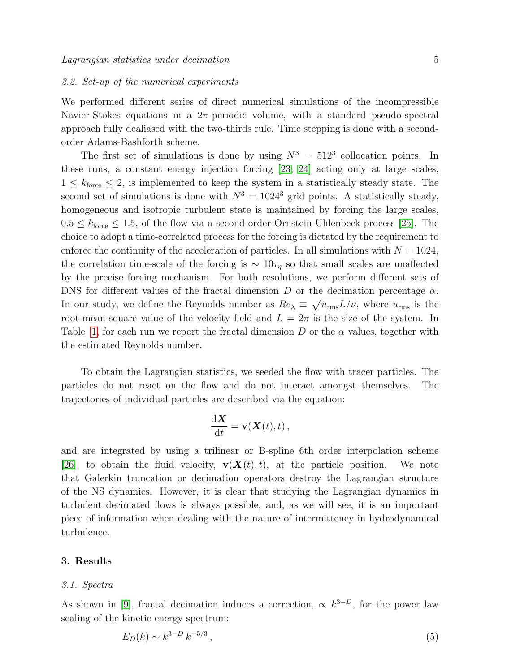#### 2.2. Set-up of the numerical experiments

We performed different series of direct numerical simulations of the incompressible Navier-Stokes equations in a  $2\pi$ -periodic volume, with a standard pseudo-spectral approach fully dealiased with the two-thirds rule. Time stepping is done with a secondorder Adams-Bashforth scheme.

The first set of simulations is done by using  $N^3 = 512^3$  collocation points. In these runs, a constant energy injection forcing [\[23,](#page-15-14) [24\]](#page-15-15) acting only at large scales,  $1 \leq k_{\text{force}} \leq 2$ , is implemented to keep the system in a statistically steady state. The second set of simulations is done with  $N^3 = 1024^3$  grid points. A statistically steady, homogeneous and isotropic turbulent state is maintained by forcing the large scales,  $0.5 \leq k_{\text{force}} \leq 1.5$ , of the flow via a second-order Ornstein-Uhlenbeck process [\[25\]](#page-15-16). The choice to adopt a time-correlated process for the forcing is dictated by the requirement to enforce the continuity of the acceleration of particles. In all simulations with  $N = 1024$ , the correlation time-scale of the forcing is  $\sim 10\tau_\eta$  so that small scales are unaffected by the precise forcing mechanism. For both resolutions, we perform different sets of DNS for different values of the fractal dimension D or the decimation percentage  $\alpha$ . In our study, we define the Reynolds number as  $Re_\lambda \equiv \sqrt{u_{\rm rms} L/\nu}$ , where  $u_{\rm rms}$  is the root-mean-square value of the velocity field and  $L = 2\pi$  is the size of the system. In Table [1,](#page-3-0) for each run we report the fractal dimension D or the  $\alpha$  values, together with the estimated Reynolds number.

To obtain the Lagrangian statistics, we seeded the flow with tracer particles. The particles do not react on the flow and do not interact amongst themselves. The trajectories of individual particles are described via the equation:

$$
\frac{\mathrm{d} \mathbf{X}}{\mathrm{d} t} = \mathbf{v}(\mathbf{X}(t), t) \,,
$$

and are integrated by using a trilinear or B-spline 6th order interpolation scheme [\[26\]](#page-15-17), to obtain the fluid velocity,  $\mathbf{v}(\mathbf{X}(t), t)$ , at the particle position. We note that Galerkin truncation or decimation operators destroy the Lagrangian structure of the NS dynamics. However, it is clear that studying the Lagrangian dynamics in turbulent decimated flows is always possible, and, as we will see, it is an important piece of information when dealing with the nature of intermittency in hydrodynamical turbulence.

# <span id="page-4-0"></span>3. Results

#### 3.1. Spectra

As shown in [\[9\]](#page-15-0), fractal decimation induces a correction,  $\propto k^{3-D}$ , for the power law scaling of the kinetic energy spectrum:

<span id="page-4-1"></span>
$$
E_D(k) \sim k^{3-D} \, k^{-5/3} \,,\tag{5}
$$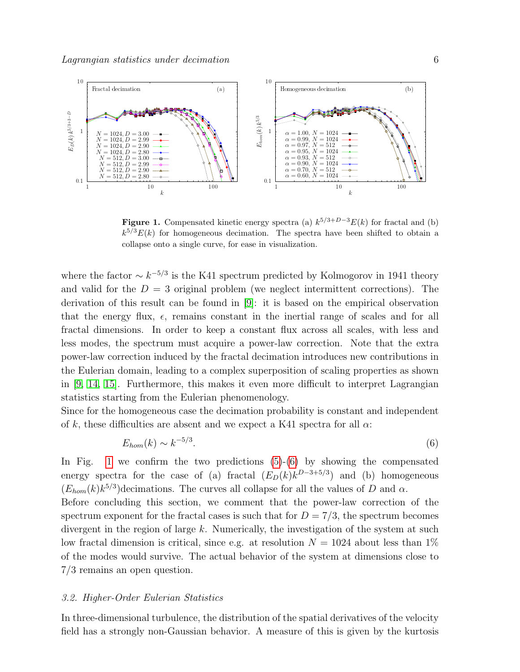

<span id="page-5-0"></span>**Figure 1.** Compensated kinetic energy spectra (a)  $k^{5/3+D-3}E(k)$  for fractal and (b)  $k^{5/3}E(k)$  for homogeneous decimation. The spectra have been shifted to obtain a collapse onto a single curve, for ease in visualization.

where the factor  $\sim k^{-5/3}$  is the K41 spectrum predicted by Kolmogorov in 1941 theory and valid for the  $D = 3$  original problem (we neglect intermittent corrections). The derivation of this result can be found in [\[9\]](#page-15-0): it is based on the empirical observation that the energy flux,  $\epsilon$ , remains constant in the inertial range of scales and for all fractal dimensions. In order to keep a constant flux across all scales, with less and less modes, the spectrum must acquire a power-law correction. Note that the extra power-law correction induced by the fractal decimation introduces new contributions in the Eulerian domain, leading to a complex superposition of scaling properties as shown in [\[9,](#page-15-0) [14,](#page-15-5) [15\]](#page-15-6). Furthermore, this makes it even more difficult to interpret Lagrangian statistics starting from the Eulerian phenomenology.

Since for the homogeneous case the decimation probability is constant and independent of k, these difficulties are absent and we expect a K41 spectra for all  $\alpha$ .

<span id="page-5-1"></span>
$$
E_{hom}(k) \sim k^{-5/3}.\tag{6}
$$

In Fig. [1](#page-5-0) we confirm the two predictions  $(5)-(6)$  $(5)-(6)$  $(5)-(6)$  by showing the compensated energy spectra for the case of (a) fractal  $(E_D(k)k^{D-3+5/3})$  and (b) homogeneous  $(E_{hom}(k)k^{5/3})$  decimations. The curves all collapse for all the values of D and  $\alpha$ .

Before concluding this section, we comment that the power-law correction of the spectrum exponent for the fractal cases is such that for  $D = 7/3$ , the spectrum becomes divergent in the region of large  $k$ . Numerically, the investigation of the system at such low fractal dimension is critical, since e.g. at resolution  $N = 1024$  about less than  $1\%$ of the modes would survive. The actual behavior of the system at dimensions close to 7/3 remains an open question.

## 3.2. Higher-Order Eulerian Statistics

In three-dimensional turbulence, the distribution of the spatial derivatives of the velocity field has a strongly non-Gaussian behavior. A measure of this is given by the kurtosis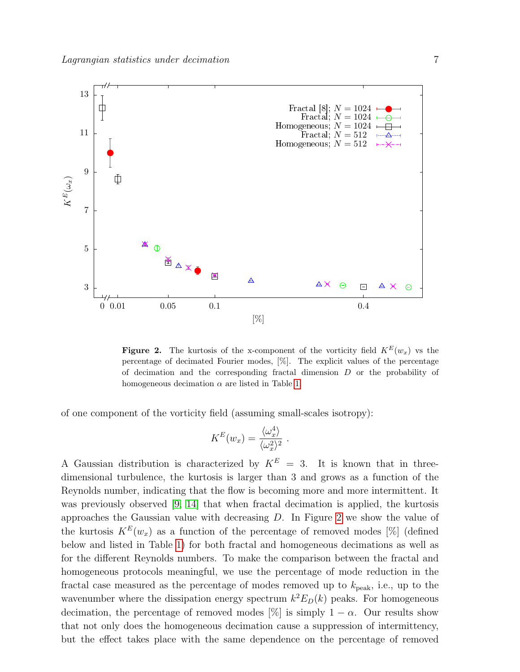

<span id="page-6-0"></span>**Figure 2.** The kurtosis of the x-component of the vorticity field  $K^E(w_x)$  vs the percentage of decimated Fourier modes, [%]. The explicit values of the percentage of decimation and the corresponding fractal dimension D or the probability of homogeneous decimation  $\alpha$  are listed in Table [1.](#page-3-0)

of one component of the vorticity field (assuming small-scales isotropy):

$$
K^{E}(w_{x}) = \frac{\langle \omega_{x}^{4} \rangle}{\langle \omega_{x}^{2} \rangle^{2}}.
$$

A Gaussian distribution is characterized by  $K^E = 3$ . It is known that in threedimensional turbulence, the kurtosis is larger than 3 and grows as a function of the Reynolds number, indicating that the flow is becoming more and more intermittent. It was previously observed [\[9,](#page-15-0) [14\]](#page-15-5) that when fractal decimation is applied, the kurtosis approaches the Gaussian value with decreasing D. In Figure [2](#page-6-0) we show the value of the kurtosis  $K^E(w_x)$  as a function of the percentage of removed modes [%] (defined below and listed in Table [1\)](#page-3-0) for both fractal and homogeneous decimations as well as for the different Reynolds numbers. To make the comparison between the fractal and homogeneous protocols meaningful, we use the percentage of mode reduction in the fractal case measured as the percentage of modes removed up to  $k_{\text{peak}}$ , i.e., up to the wavenumber where the dissipation energy spectrum  $k^2 E_D(k)$  peaks. For homogeneous decimation, the percentage of removed modes [%] is simply  $1 - \alpha$ . Our results show that not only does the homogeneous decimation cause a suppression of intermittency, but the effect takes place with the same dependence on the percentage of removed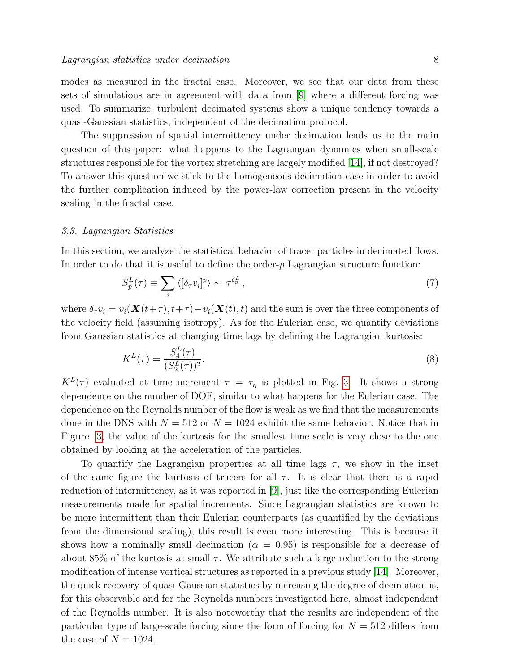modes as measured in the fractal case. Moreover, we see that our data from these sets of simulations are in agreement with data from [\[9\]](#page-15-0) where a different forcing was used. To summarize, turbulent decimated systems show a unique tendency towards a quasi-Gaussian statistics, independent of the decimation protocol.

The suppression of spatial intermittency under decimation leads us to the main question of this paper: what happens to the Lagrangian dynamics when small-scale structures responsible for the vortex stretching are largely modified [\[14\]](#page-15-5), if not destroyed? To answer this question we stick to the homogeneous decimation case in order to avoid the further complication induced by the power-law correction present in the velocity scaling in the fractal case.

#### 3.3. Lagrangian Statistics

In this section, we analyze the statistical behavior of tracer particles in decimated flows. In order to do that it is useful to define the order- $p$  Lagrangian structure function:

$$
S_p^L(\tau) \equiv \sum_i \langle [\delta_\tau v_i]^p \rangle \sim \tau^{\zeta_p^L},\tag{7}
$$

where  $\delta_\tau v_i = v_i(\mathbf{X}(t+\tau), t+\tau) - v_i(\mathbf{X}(t), t)$  and the sum is over the three components of the velocity field (assuming isotropy). As for the Eulerian case, we quantify deviations from Gaussian statistics at changing time lags by defining the Lagrangian kurtosis:

$$
K^{L}(\tau) = \frac{S_4^{L}(\tau)}{(S_2^{L}(\tau))^{2}}.
$$
\n(8)

 $K^L(\tau)$  evaluated at time increment  $\tau = \tau_{\eta}$  is plotted in Fig. [3.](#page-8-0) It shows a strong dependence on the number of DOF, similar to what happens for the Eulerian case. The dependence on the Reynolds number of the flow is weak as we find that the measurements done in the DNS with  $N = 512$  or  $N = 1024$  exhibit the same behavior. Notice that in Figure [3,](#page-8-0) the value of the kurtosis for the smallest time scale is very close to the one obtained by looking at the acceleration of the particles.

To quantify the Lagrangian properties at all time lags  $\tau$ , we show in the inset of the same figure the kurtosis of tracers for all  $\tau$ . It is clear that there is a rapid reduction of intermittency, as it was reported in [\[9\]](#page-15-0), just like the corresponding Eulerian measurements made for spatial increments. Since Lagrangian statistics are known to be more intermittent than their Eulerian counterparts (as quantified by the deviations from the dimensional scaling), this result is even more interesting. This is because it shows how a nominally small decimation ( $\alpha = 0.95$ ) is responsible for a decrease of about 85% of the kurtosis at small  $\tau$ . We attribute such a large reduction to the strong modification of intense vortical structures as reported in a previous study [\[14\]](#page-15-5). Moreover, the quick recovery of quasi-Gaussian statistics by increasing the degree of decimation is, for this observable and for the Reynolds numbers investigated here, almost independent of the Reynolds number. It is also noteworthy that the results are independent of the particular type of large-scale forcing since the form of forcing for  $N = 512$  differs from the case of  $N = 1024$ .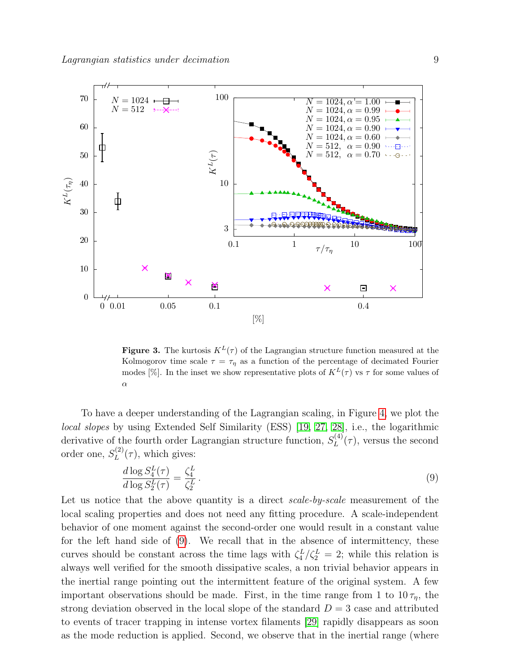

<span id="page-8-0"></span>**Figure 3.** The kurtosis  $K^L(\tau)$  of the Lagrangian structure function measured at the Kolmogorov time scale  $\tau = \tau_n$  as a function of the percentage of decimated Fourier modes [%]. In the inset we show representative plots of  $K^L(\tau)$  vs  $\tau$  for some values of α

To have a deeper understanding of the Lagrangian scaling, in Figure [4,](#page-9-1) we plot the local slopes by using Extended Self Similarity (ESS) [\[19,](#page-15-10) [27,](#page-15-18) [28\]](#page-15-19), i.e., the logarithmic derivative of the fourth order Lagrangian structure function,  $S_L^{(4)}$  $L^{(4)}(\tau)$ , versus the second order one,  $S_L^{(2)}$  $L^{(2)}(\tau)$ , which gives:

<span id="page-8-1"></span>
$$
\frac{d \log S_4^L(\tau)}{d \log S_2^L(\tau)} = \frac{\zeta_4^L}{\zeta_2^L}.
$$
\n
$$
(9)
$$

Let us notice that the above quantity is a direct scale-by-scale measurement of the local scaling properties and does not need any fitting procedure. A scale-independent behavior of one moment against the second-order one would result in a constant value for the left hand side of [\(9\)](#page-8-1). We recall that in the absence of intermittency, these curves should be constant across the time lags with  $\zeta_4^L/\zeta_2^L = 2$ ; while this relation is always well verified for the smooth dissipative scales, a non trivial behavior appears in the inertial range pointing out the intermittent feature of the original system. A few important observations should be made. First, in the time range from 1 to  $10\,\tau_n$ , the strong deviation observed in the local slope of the standard  $D = 3$  case and attributed to events of tracer trapping in intense vortex filaments [\[29\]](#page-15-20) rapidly disappears as soon as the mode reduction is applied. Second, we observe that in the inertial range (where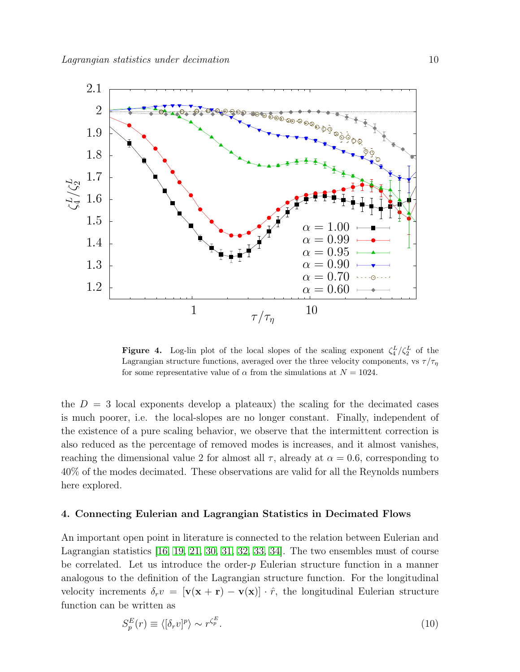

<span id="page-9-1"></span>**Figure 4.** Log-lin plot of the local slopes of the scaling exponent  $\zeta_4^L/\zeta_2^L$  of the Lagrangian structure functions, averaged over the three velocity components, vs  $\tau/\tau_n$ for some representative value of  $\alpha$  from the simulations at  $N = 1024$ .

the  $D = 3$  local exponents develop a plateaux) the scaling for the decimated cases is much poorer, i.e. the local-slopes are no longer constant. Finally, independent of the existence of a pure scaling behavior, we observe that the intermittent correction is also reduced as the percentage of removed modes is increases, and it almost vanishes, reaching the dimensional value 2 for almost all  $\tau$ , already at  $\alpha = 0.6$ , corresponding to 40% of the modes decimated. These observations are valid for all the Reynolds numbers here explored.

## <span id="page-9-0"></span>4. Connecting Eulerian and Lagrangian Statistics in Decimated Flows

An important open point in literature is connected to the relation between Eulerian and Lagrangian statistics [\[16,](#page-15-7) [19,](#page-15-10) [21,](#page-15-12) [30,](#page-15-21) [31,](#page-15-22) [32,](#page-15-23) [33,](#page-15-24) [34\]](#page-15-25). The two ensembles must of course be correlated. Let us introduce the order- $p$  Eulerian structure function in a manner analogous to the definition of the Lagrangian structure function. For the longitudinal velocity increments  $\delta_r v = [\mathbf{v}(\mathbf{x} + \mathbf{r}) - \mathbf{v}(\mathbf{x})] \cdot \hat{r}$ , the longitudinal Eulerian structure function can be written as

$$
S_p^E(r) \equiv \langle [\delta_r v]^p \rangle \sim r^{\zeta_p^E}.
$$
\n(10)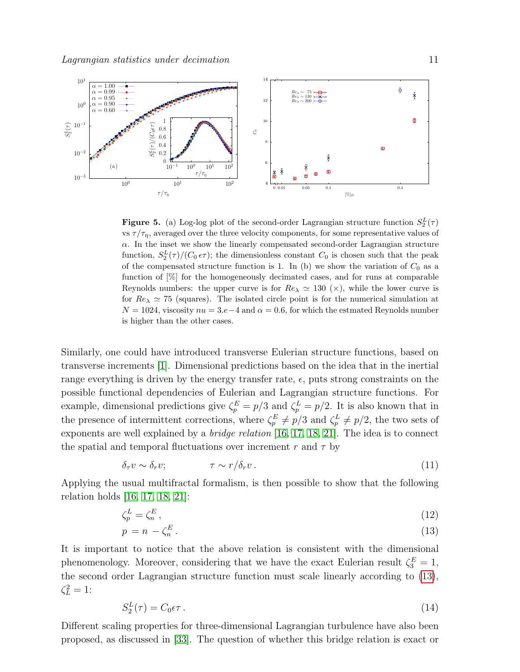

<span id="page-10-2"></span>**Figure 5.** (a) Log-log plot of the second-order Lagrangian structure function  $S_2^L(\tau)$ vs  $\tau/\tau_{\eta}$ , averaged over the three velocity components, for some representative values of  $\alpha$ . In the inset we show the linearly compensated second-order Lagrangian structure function,  $S_2^L(\tau)/(C_0 \epsilon \tau)$ ; the dimensionless constant  $C_0$  is chosen such that the peak of the compensated structure function is 1. In (b) we show the variation of  $C_0$  as a function of [%] for the homogeneously decimated cases, and for runs at comparable Reynolds numbers: the upper curve is for  $Re_{\lambda} \simeq 130 \; (\times)$ , while the lower curve is for  $Re_\lambda \simeq 75$  (squares). The isolated circle point is for the numerical simulation at  $N = 1024$ , viscosity  $nu = 3.e-4$  and  $\alpha = 0.6$ , for which the estmated Reynolds number is higher than the other cases.

Similarly, one could have introduced transverse Eulerian structure functions, based on transverse increments [\[1\]](#page-14-0). Dimensional predictions based on the idea that in the inertial range everything is driven by the energy transfer rate,  $\epsilon$ , puts strong constraints on the possible functional dependencies of Eulerian and Lagrangian structure functions. For example, dimensional predictions give  $\zeta_p^E = p/3$  and  $\zeta_p^L = p/2$ . It is also known that in the presence of intermittent corrections, where  $\zeta_p^E \neq p/3$  and  $\zeta_p^L \neq p/2$ , the two sets of exponents are well explained by a bridge relation [\[16,](#page-15-7) [17,](#page-15-8) [18,](#page-15-9) [21\]](#page-15-12). The idea is to connect the spatial and temporal fluctuations over increment r and  $\tau$  by

$$
\delta_{\tau} v \sim \delta_r v; \qquad \qquad \tau \sim r/\delta_r v. \tag{11}
$$

Applying the usual multifractal formalism, is then possible to show that the following relation holds [\[16,](#page-15-7) [17,](#page-15-8) [18,](#page-15-9) [21\]](#page-15-12):

$$
\zeta_p^L = \zeta_n^E,\tag{12}
$$

<span id="page-10-0"></span>
$$
p = n - \zeta_n^E. \tag{13}
$$

It is important to notice that the above relation is consistent with the dimensional phenomenology. Moreover, considering that we have the exact Eulerian result  $\zeta_3^E = 1$ , the second order Lagrangian structure function must scale linearly according to [\(13\)](#page-10-0),  $\zeta_L^2=1$ :

<span id="page-10-1"></span>
$$
S_2^L(\tau) = C_0 \epsilon \tau \,. \tag{14}
$$

Different scaling properties for three-dimensional Lagrangian turbulence have also been proposed, as discussed in [\[33\]](#page-15-24). The question of whether this bridge relation is exact or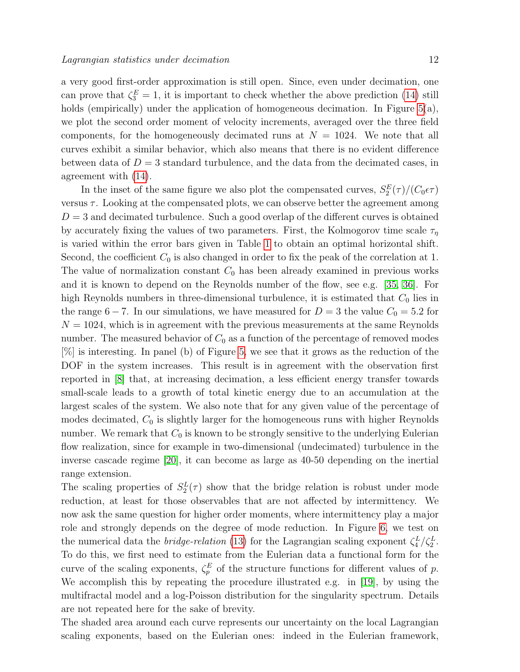a very good first-order approximation is still open. Since, even under decimation, one can prove that  $\zeta_3^E = 1$ , it is important to check whether the above prediction [\(14\)](#page-10-1) still holds (empirically) under the application of homogeneous decimation. In Figure [5\(](#page-10-2)a), we plot the second order moment of velocity increments, averaged over the three field components, for the homogeneously decimated runs at  $N = 1024$ . We note that all curves exhibit a similar behavior, which also means that there is no evident difference between data of  $D = 3$  standard turbulence, and the data from the decimated cases, in agreement with [\(14\)](#page-10-1).

In the inset of the same figure we also plot the compensated curves,  $S_2^{E}(\tau)/(C_0\epsilon\tau)$ versus  $\tau$ . Looking at the compensated plots, we can observe better the agreement among  $D = 3$  and decimated turbulence. Such a good overlap of the different curves is obtained by accurately fixing the values of two parameters. First, the Kolmogorov time scale  $\tau_n$ is varied within the error bars given in Table [1](#page-3-0) to obtain an optimal horizontal shift. Second, the coefficient  $C_0$  is also changed in order to fix the peak of the correlation at 1. The value of normalization constant  $C_0$  has been already examined in previous works and it is known to depend on the Reynolds number of the flow, see e.g. [\[35,](#page-15-26) [36\]](#page-15-27). For high Reynolds numbers in three-dimensional turbulence, it is estimated that  $C_0$  lies in the range 6 – 7. In our simulations, we have measured for  $D = 3$  the value  $C_0 = 5.2$  for  $N = 1024$ , which is in agreement with the previous measurements at the same Reynolds number. The measured behavior of  $C_0$  as a function of the percentage of removed modes [%] is interesting. In panel (b) of Figure [5,](#page-10-2) we see that it grows as the reduction of the DOF in the system increases. This result is in agreement with the observation first reported in [\[8\]](#page-14-7) that, at increasing decimation, a less efficient energy transfer towards small-scale leads to a growth of total kinetic energy due to an accumulation at the largest scales of the system. We also note that for any given value of the percentage of modes decimated,  $C_0$  is slightly larger for the homogeneous runs with higher Reynolds number. We remark that  $C_0$  is known to be strongly sensitive to the underlying Eulerian flow realization, since for example in two-dimensional (undecimated) turbulence in the inverse cascade regime [\[20\]](#page-15-11), it can become as large as 40-50 depending on the inertial range extension.

The scaling properties of  $S_2^L(\tau)$  show that the bridge relation is robust under mode reduction, at least for those observables that are not affected by intermittency. We now ask the same question for higher order moments, where intermittency play a major role and strongly depends on the degree of mode reduction. In Figure [6,](#page-12-0) we test on the numerical data the *bridge-relation* [\(13\)](#page-10-0) for the Lagrangian scaling exponent  $\zeta_4^L/\zeta_2^L$ . To do this, we first need to estimate from the Eulerian data a functional form for the curve of the scaling exponents,  $\zeta_p^E$  of the structure functions for different values of p. We accomplish this by repeating the procedure illustrated e.g. in [\[19\]](#page-15-10), by using the multifractal model and a log-Poisson distribution for the singularity spectrum. Details are not repeated here for the sake of brevity.

The shaded area around each curve represents our uncertainty on the local Lagrangian scaling exponents, based on the Eulerian ones: indeed in the Eulerian framework,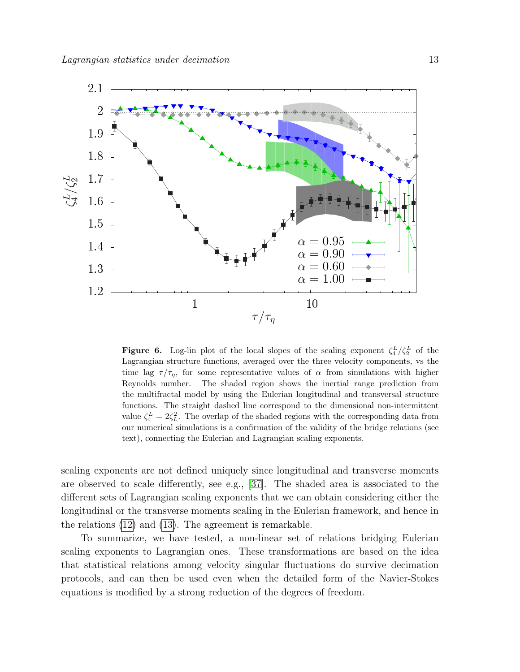

<span id="page-12-0"></span>**Figure 6.** Log-lin plot of the local slopes of the scaling exponent  $\zeta_4^L/\zeta_2^L$  of the Lagrangian structure functions, averaged over the three velocity components, vs the time lag  $\tau/\tau_{\eta}$ , for some representative values of  $\alpha$  from simulations with higher Reynolds number. The shaded region shows the inertial range prediction from the multifractal model by using the Eulerian longitudinal and transversal structure functions. The straight dashed line correspond to the dimensional non-intermittent value  $\zeta_4^L = 2\zeta_L^2$ . The overlap of the shaded regions with the corresponding data from our numerical simulations is a confirmation of the validity of the bridge relations (see text), connecting the Eulerian and Lagrangian scaling exponents.

scaling exponents are not defined uniquely since longitudinal and transverse moments are observed to scale differently, see e.g., [\[37\]](#page-15-28). The shaded area is associated to the different sets of Lagrangian scaling exponents that we can obtain considering either the longitudinal or the transverse moments scaling in the Eulerian framework, and hence in the relations [\(12\)](#page-10-0) and [\(13\)](#page-10-0). The agreement is remarkable.

To summarize, we have tested, a non-linear set of relations bridging Eulerian scaling exponents to Lagrangian ones. These transformations are based on the idea that statistical relations among velocity singular fluctuations do survive decimation protocols, and can then be used even when the detailed form of the Navier-Stokes equations is modified by a strong reduction of the degrees of freedom.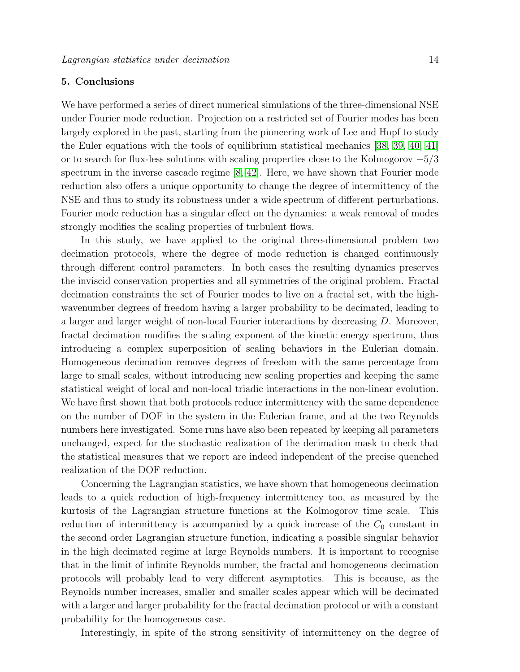# 5. Conclusions

We have performed a series of direct numerical simulations of the three-dimensional NSE under Fourier mode reduction. Projection on a restricted set of Fourier modes has been largely explored in the past, starting from the pioneering work of Lee and Hopf to study the Euler equations with the tools of equilibrium statistical mechanics [\[38,](#page-15-29) [39,](#page-15-30) [40,](#page-15-31) [41\]](#page-15-32) or to search for flux-less solutions with scaling properties close to the Kolmogorov  $-5/3$ spectrum in the inverse cascade regime [\[8,](#page-14-7) [42\]](#page-15-33). Here, we have shown that Fourier mode reduction also offers a unique opportunity to change the degree of intermittency of the NSE and thus to study its robustness under a wide spectrum of different perturbations. Fourier mode reduction has a singular effect on the dynamics: a weak removal of modes strongly modifies the scaling properties of turbulent flows.

In this study, we have applied to the original three-dimensional problem two decimation protocols, where the degree of mode reduction is changed continuously through different control parameters. In both cases the resulting dynamics preserves the inviscid conservation properties and all symmetries of the original problem. Fractal decimation constraints the set of Fourier modes to live on a fractal set, with the highwavenumber degrees of freedom having a larger probability to be decimated, leading to a larger and larger weight of non-local Fourier interactions by decreasing D. Moreover, fractal decimation modifies the scaling exponent of the kinetic energy spectrum, thus introducing a complex superposition of scaling behaviors in the Eulerian domain. Homogeneous decimation removes degrees of freedom with the same percentage from large to small scales, without introducing new scaling properties and keeping the same statistical weight of local and non-local triadic interactions in the non-linear evolution. We have first shown that both protocols reduce intermittency with the same dependence on the number of DOF in the system in the Eulerian frame, and at the two Reynolds numbers here investigated. Some runs have also been repeated by keeping all parameters unchanged, expect for the stochastic realization of the decimation mask to check that the statistical measures that we report are indeed independent of the precise quenched realization of the DOF reduction.

Concerning the Lagrangian statistics, we have shown that homogeneous decimation leads to a quick reduction of high-frequency intermittency too, as measured by the kurtosis of the Lagrangian structure functions at the Kolmogorov time scale. This reduction of intermittency is accompanied by a quick increase of the  $C_0$  constant in the second order Lagrangian structure function, indicating a possible singular behavior in the high decimated regime at large Reynolds numbers. It is important to recognise that in the limit of infinite Reynolds number, the fractal and homogeneous decimation protocols will probably lead to very different asymptotics. This is because, as the Reynolds number increases, smaller and smaller scales appear which will be decimated with a larger and larger probability for the fractal decimation protocol or with a constant probability for the homogeneous case.

Interestingly, in spite of the strong sensitivity of intermittency on the degree of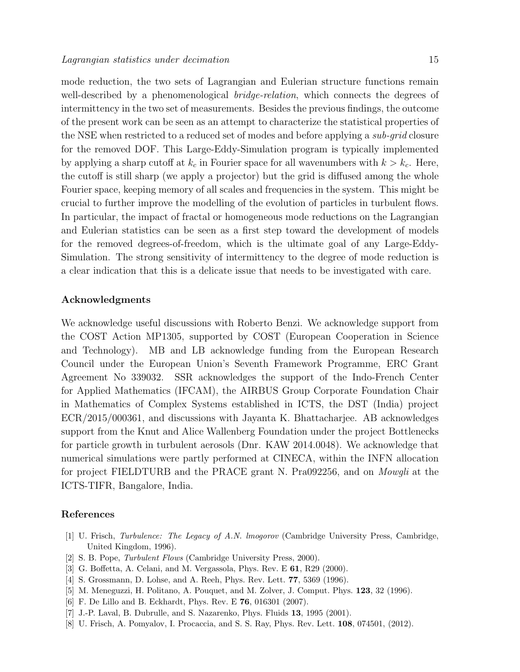mode reduction, the two sets of Lagrangian and Eulerian structure functions remain well-described by a phenomenological *bridge-relation*, which connects the degrees of intermittency in the two set of measurements. Besides the previous findings, the outcome of the present work can be seen as an attempt to characterize the statistical properties of the NSE when restricted to a reduced set of modes and before applying a *sub-grid* closure for the removed DOF. This Large-Eddy-Simulation program is typically implemented by applying a sharp cutoff at  $k_c$  in Fourier space for all wavenumbers with  $k > k_c$ . Here, the cutoff is still sharp (we apply a projector) but the grid is diffused among the whole Fourier space, keeping memory of all scales and frequencies in the system. This might be crucial to further improve the modelling of the evolution of particles in turbulent flows. In particular, the impact of fractal or homogeneous mode reductions on the Lagrangian and Eulerian statistics can be seen as a first step toward the development of models for the removed degrees-of-freedom, which is the ultimate goal of any Large-Eddy-Simulation. The strong sensitivity of intermittency to the degree of mode reduction is a clear indication that this is a delicate issue that needs to be investigated with care.

# Acknowledgments

We acknowledge useful discussions with Roberto Benzi. We acknowledge support from the COST Action MP1305, supported by COST (European Cooperation in Science and Technology). MB and LB acknowledge funding from the European Research Council under the European Union's Seventh Framework Programme, ERC Grant Agreement No 339032. SSR acknowledges the support of the Indo-French Center for Applied Mathematics (IFCAM), the AIRBUS Group Corporate Foundation Chair in Mathematics of Complex Systems established in ICTS, the DST (India) project ECR/2015/000361, and discussions with Jayanta K. Bhattacharjee. AB acknowledges support from the Knut and Alice Wallenberg Foundation under the project Bottlenecks for particle growth in turbulent aerosols (Dnr. KAW 2014.0048). We acknowledge that numerical simulations were partly performed at CINECA, within the INFN allocation for project FIELDTURB and the PRACE grant N. Pra092256, and on Mowgli at the ICTS-TIFR, Bangalore, India.

#### References

- <span id="page-14-0"></span>[1] U. Frisch, Turbulence: The Legacy of A.N. lmogorov (Cambridge University Press, Cambridge, United Kingdom, 1996).
- <span id="page-14-1"></span>[2] S. B. Pope, Turbulent Flows (Cambridge University Press, 2000).
- <span id="page-14-2"></span>[3] G. Boffetta, A. Celani, and M. Vergassola, Phys. Rev. E 61, R29 (2000).
- <span id="page-14-3"></span>[4] S. Grossmann, D. Lohse, and A. Reeh, Phys. Rev. Lett. 77, 5369 (1996).
- <span id="page-14-4"></span>[5] M. Meneguzzi, H. Politano, A. Pouquet, and M. Zolver, J. Comput. Phys. 123, 32 (1996).
- <span id="page-14-5"></span>[6] F. De Lillo and B. Eckhardt, Phys. Rev. E 76, 016301 (2007).
- <span id="page-14-6"></span>[7] J.-P. Laval, B. Dubrulle, and S. Nazarenko, Phys. Fluids 13, 1995 (2001).
- <span id="page-14-7"></span>[8] U. Frisch, A. Pomyalov, I. Procaccia, and S. S. Ray, Phys. Rev. Lett. 108, 074501, (2012).